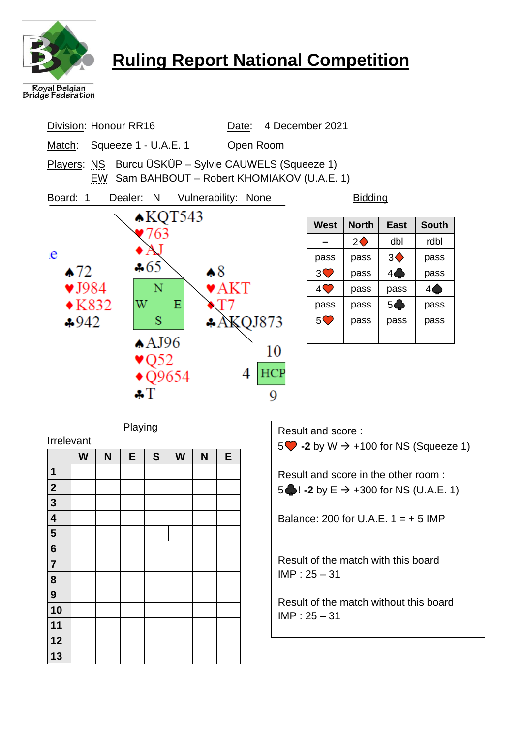

**12 13**

# **Ruling Report National Competition**